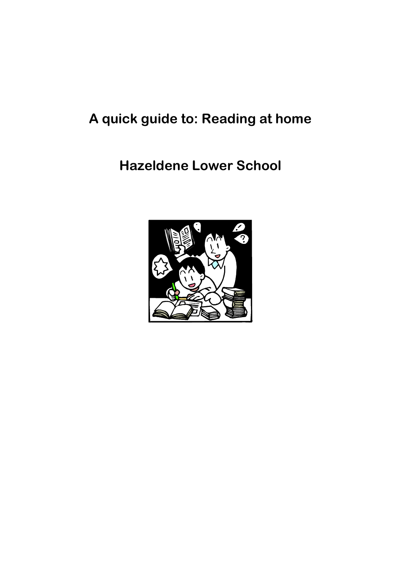# **A quick guide to: Reading at home**

# **Hazeldene Lower School**

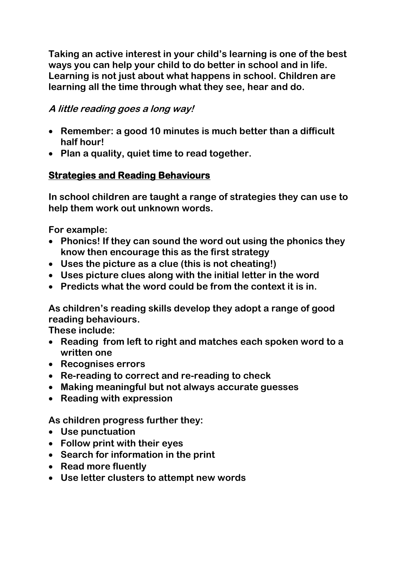**Taking an active interest in your child's learning is one of the best ways you can help your child to do better in school and in life. Learning is not just about what happens in school. Children are learning all the time through what they see, hear and do.** 

### **A little reading goes a long way!**

- **Remember: a good 10 minutes is much better than a difficult half hour!**
- **Plan a quality, quiet time to read together.**

## **Strategies and Reading Behaviours**

**In school children are taught a range of strategies they can use to help them work out unknown words.**

**For example:**

- **Phonics! If they can sound the word out using the phonics they know then encourage this as the first strategy**
- **Uses the picture as a clue (this is not cheating!)**
- **Uses picture clues along with the initial letter in the word**
- **Predicts what the word could be from the context it is in.**

**As children's reading skills develop they adopt a range of good reading behaviours.** 

**These include:**

- **Reading from left to right and matches each spoken word to a written one**
- **Recognises errors**
- **Re-reading to correct and re-reading to check**
- **Making meaningful but not always accurate guesses**
- **Reading with expression**

**As children progress further they:**

- **Use punctuation**
- **Follow print with their eyes**
- **Search for information in the print**
- **Read more fluently**
- **Use letter clusters to attempt new words**